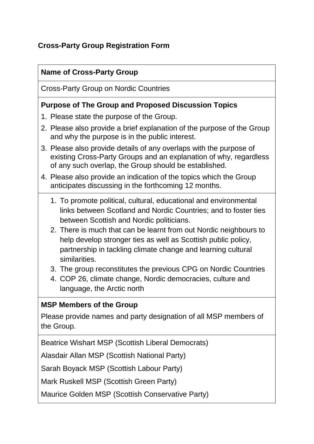# **Cross-Party Group Registration Form**

## **Name of Cross-Party Group**

Cross-Party Group on Nordic Countries

#### **Purpose of The Group and Proposed Discussion Topics**

- 1. Please state the purpose of the Group.
- 2. Please also provide a brief explanation of the purpose of the Group and why the purpose is in the public interest.
- 3. Please also provide details of any overlaps with the purpose of existing Cross-Party Groups and an explanation of why, regardless of any such overlap, the Group should be established.
- 4. Please also provide an indication of the topics which the Group anticipates discussing in the forthcoming 12 months.
	- 1. To promote political, cultural, educational and environmental links between Scotland and Nordic Countries; and to foster ties between Scottish and Nordic politicians.
	- 2. There is much that can be learnt from out Nordic neighbours to help develop stronger ties as well as Scottish public policy, partnership in tackling climate change and learning cultural similarities.
	- 3. The group reconstitutes the previous CPG on Nordic Countries
	- 4. COP 26, climate change, Nordic democracies, culture and language, the Arctic north

## **MSP Members of the Group**

Please provide names and party designation of all MSP members of the Group.

Beatrice Wishart MSP (Scottish Liberal Democrats)

Alasdair Allan MSP (Scottish National Party)

Sarah Boyack MSP (Scottish Labour Party)

Mark Ruskell MSP (Scottish Green Party)

Maurice Golden MSP (Scottish Conservative Party)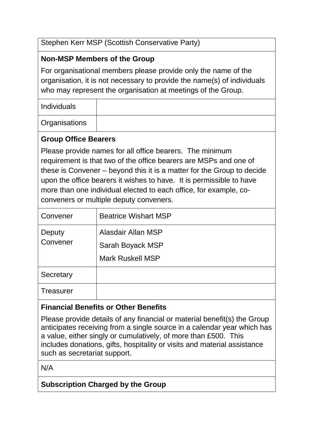Stephen Kerr MSP (Scottish Conservative Party)

## **Non-MSP Members of the Group**

For organisational members please provide only the name of the organisation, it is not necessary to provide the name(s) of individuals who may represent the organisation at meetings of the Group.

Individuals

**Organisations** 

#### **Group Office Bearers**

Please provide names for all office bearers. The minimum requirement is that two of the office bearers are MSPs and one of these is Convener – beyond this it is a matter for the Group to decide upon the office bearers it wishes to have. It is permissible to have more than one individual elected to each office, for example, coconveners or multiple deputy conveners.

| Convener           | <b>Beatrice Wishart MSP</b> |
|--------------------|-----------------------------|
| Deputy<br>Convener | Alasdair Allan MSP          |
|                    | Sarah Boyack MSP            |
|                    | <b>Mark Ruskell MSP</b>     |
| Secretary          |                             |
| Treasurer          |                             |

## **Financial Benefits or Other Benefits**

Please provide details of any financial or material benefit(s) the Group anticipates receiving from a single source in a calendar year which has a value, either singly or cumulatively, of more than £500. This includes donations, gifts, hospitality or visits and material assistance such as secretariat support.

N/A

## **Subscription Charged by the Group**